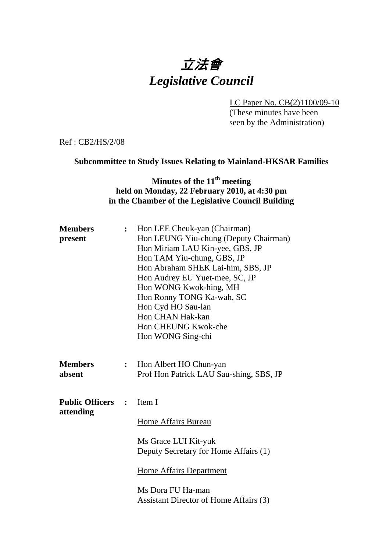# 立法會 *Legislative Council*

LC Paper No. CB(2)1100/09-10 (These minutes have been

seen by the Administration)

Ref : CB2/HS/2/08

## **Subcommittee to Study Issues Relating to Mainland-HKSAR Families**

# **Minutes of the 11th meeting held on Monday, 22 February 2010, at 4:30 pm in the Chamber of the Legislative Council Building**

| <b>Members</b>                      | $\ddot{\cdot}$ | Hon LEE Cheuk-yan (Chairman)                                      |
|-------------------------------------|----------------|-------------------------------------------------------------------|
| present                             |                | Hon LEUNG Yiu-chung (Deputy Chairman)                             |
|                                     |                | Hon Miriam LAU Kin-yee, GBS, JP                                   |
|                                     |                | Hon TAM Yiu-chung, GBS, JP                                        |
|                                     |                | Hon Abraham SHEK Lai-him, SBS, JP                                 |
|                                     |                | Hon Audrey EU Yuet-mee, SC, JP                                    |
|                                     |                | Hon WONG Kwok-hing, MH                                            |
|                                     |                | Hon Ronny TONG Ka-wah, SC                                         |
|                                     |                | Hon Cyd HO Sau-lan                                                |
|                                     |                | Hon CHAN Hak-kan                                                  |
|                                     |                | Hon CHEUNG Kwok-che                                               |
|                                     |                | Hon WONG Sing-chi                                                 |
| <b>Members</b><br>absent            | $\ddot{\cdot}$ | Hon Albert HO Chun-yan<br>Prof Hon Patrick LAU Sau-shing, SBS, JP |
| <b>Public Officers</b><br>attending | $\ddot{\cdot}$ | Item I                                                            |
|                                     |                | <b>Home Affairs Bureau</b>                                        |
|                                     |                | Ms Grace LUI Kit-yuk<br>Deputy Secretary for Home Affairs (1)     |
|                                     |                | <b>Home Affairs Department</b>                                    |
|                                     |                | Ms Dora FU Ha-man<br>Assistant Director of Home Affairs (3)       |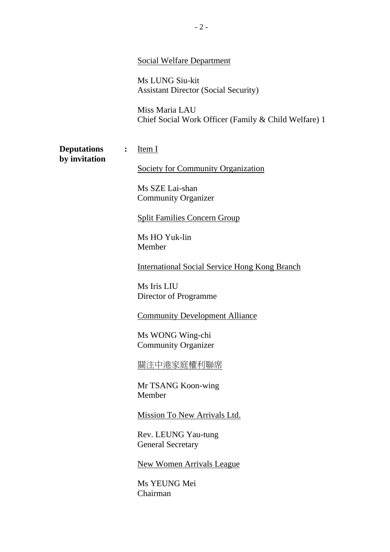#### Social Welfare Department

Ms LUNG Siu-kit Assistant Director (Social Security)

Miss Maria LAU Chief Social Work Officer (Family & Child Welfare) 1

**Deputations :** Item I **by invitation** 

Society for Community Organization

Ms SZE Lai-shan Community Organizer

Split Families Concern Group

Ms HO Yuk-lin Member

**International Social Service Hong Kong Branch** 

Ms Iris LIU Director of Programme

#### **Community Development Alliance**

Ms WONG Wing-chi Community Organizer

關注中港家庭權利聯席

Mr TSANG Koon-wing Member

Mission To New Arrivals Ltd.

Rev. LEUNG Yau-tung General Secretary

New Women Arrivals League

Ms YEUNG Mei Chairman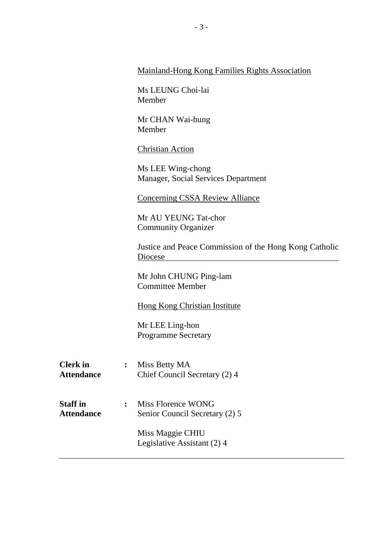#### Mainland-Hong Kong Families Rights Association

Ms LEUNG Choi-lai Member

Mr CHAN Wai-hung Member

Christian Action

Ms LEE Wing-chong Manager, Social Services Department

**Concerning CSSA Review Alliance** 

Mr AU YEUNG Tat-chor Community Organizer

Justice and Peace Commission of the Hong Kong Catholic Diocese

Mr John CHUNG Ping-lam Committee Member

Hong Kong Christian Institute

Mr LEE Ling-hon Programme Secretary

- **Clerk in : Miss Betty MA** Attendance **Chief Council Secretary (2) 4**
- **Staff in :** Miss Florence WONG Attendance Senior Council Secretary (2) 5

Miss Maggie CHIU Legislative Assistant (2) 4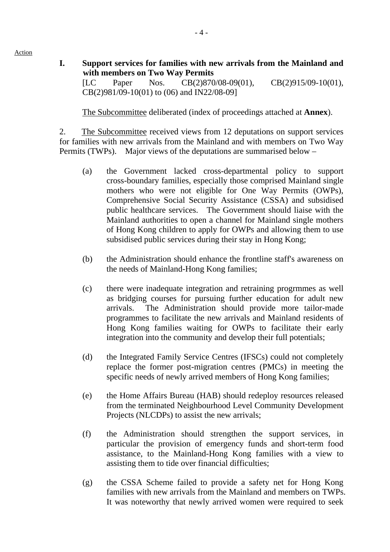- Action
- **I. Support services for families with new arrivals from the Mainland and with members on Two Way Permits**

[LC Paper Nos. CB(2)870/08-09(01), CB(2)915/09-10(01), CB(2)981/09-10(01) to (06) and IN22/08-09]

1. The Subcommittee deliberated (index of proceedings attached at **Annex**).

2. The Subcommittee received views from 12 deputations on support services for families with new arrivals from the Mainland and with members on Two Way Permits (TWPs). Major views of the deputations are summarised below –

- (a) the Government lacked cross-departmental policy to support cross-boundary families, especially those comprised Mainland single mothers who were not eligible for One Way Permits (OWPs), Comprehensive Social Security Assistance (CSSA) and subsidised public healthcare services. The Government should liaise with the Mainland authorities to open a channel for Mainland single mothers of Hong Kong children to apply for OWPs and allowing them to use subsidised public services during their stay in Hong Kong;
- (b) the Administration should enhance the frontline staff's awareness on the needs of Mainland-Hong Kong families;
- (c) there were inadequate integration and retraining progrmmes as well as bridging courses for pursuing further education for adult new arrivals. The Administration should provide more tailor-made programmes to facilitate the new arrivals and Mainland residents of Hong Kong families waiting for OWPs to facilitate their early integration into the community and develop their full potentials;
- (d) the Integrated Family Service Centres (IFSCs) could not completely replace the former post-migration centres (PMCs) in meeting the specific needs of newly arrived members of Hong Kong families;
- (e) the Home Affairs Bureau (HAB) should redeploy resources released from the terminated Neighbourhood Level Community Development Projects (NLCDPs) to assist the new arrivals;
- (f) the Administration should strengthen the support services, in particular the provision of emergency funds and short-term food assistance, to the Mainland-Hong Kong families with a view to assisting them to tide over financial difficulties;
- (g) the CSSA Scheme failed to provide a safety net for Hong Kong families with new arrivals from the Mainland and members on TWPs. It was noteworthy that newly arrived women were required to seek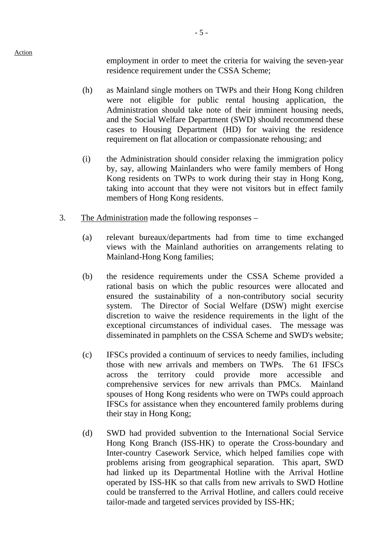Action

employment in order to meet the criteria for waiving the seven-year residence requirement under the CSSA Scheme;

- (h) as Mainland single mothers on TWPs and their Hong Kong children were not eligible for public rental housing application, the Administration should take note of their imminent housing needs, and the Social Welfare Department (SWD) should recommend these cases to Housing Department (HD) for waiving the residence requirement on flat allocation or compassionate rehousing; and
- (i) the Administration should consider relaxing the immigration policy by, say, allowing Mainlanders who were family members of Hong Kong residents on TWPs to work during their stay in Hong Kong, taking into account that they were not visitors but in effect family members of Hong Kong residents.
- 3. The Administration made the following responses
	- (a) relevant bureaux/departments had from time to time exchanged views with the Mainland authorities on arrangements relating to Mainland-Hong Kong families;
	- (b) the residence requirements under the CSSA Scheme provided a rational basis on which the public resources were allocated and ensured the sustainability of a non-contributory social security system. The Director of Social Welfare (DSW) might exercise discretion to waive the residence requirements in the light of the exceptional circumstances of individual cases. The message was disseminated in pamphlets on the CSSA Scheme and SWD's website;
	- (c) IFSCs provided a continuum of services to needy families, including those with new arrivals and members on TWPs. The 61 IFSCs across the territory could provide more accessible and comprehensive services for new arrivals than PMCs. Mainland spouses of Hong Kong residents who were on TWPs could approach IFSCs for assistance when they encountered family problems during their stay in Hong Kong;
	- (d) SWD had provided subvention to the International Social Service Hong Kong Branch (ISS-HK) to operate the Cross-boundary and Inter-country Casework Service, which helped families cope with problems arising from geographical separation. This apart, SWD had linked up its Departmental Hotline with the Arrival Hotline operated by ISS-HK so that calls from new arrivals to SWD Hotline could be transferred to the Arrival Hotline, and callers could receive tailor-made and targeted services provided by ISS-HK;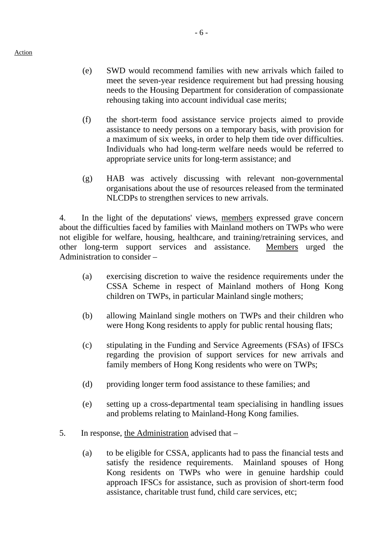- (e) SWD would recommend families with new arrivals which failed to meet the seven-year residence requirement but had pressing housing needs to the Housing Department for consideration of compassionate rehousing taking into account individual case merits;
- (f) the short-term food assistance service projects aimed to provide assistance to needy persons on a temporary basis, with provision for a maximum of six weeks, in order to help them tide over difficulties. Individuals who had long-term welfare needs would be referred to appropriate service units for long-term assistance; and
- (g) HAB was actively discussing with relevant non-governmental organisations about the use of resources released from the terminated NLCDPs to strengthen services to new arrivals.

4. In the light of the deputations' views, members expressed grave concern about the difficulties faced by families with Mainland mothers on TWPs who were not eligible for welfare, housing, healthcare, and training/retraining services, and other long-term support services and assistance. Members urged the Administration to consider –

- (a) exercising discretion to waive the residence requirements under the CSSA Scheme in respect of Mainland mothers of Hong Kong children on TWPs, in particular Mainland single mothers;
- (b) allowing Mainland single mothers on TWPs and their children who were Hong Kong residents to apply for public rental housing flats;
- (c) stipulating in the Funding and Service Agreements (FSAs) of IFSCs regarding the provision of support services for new arrivals and family members of Hong Kong residents who were on TWPs;
- (d) providing longer term food assistance to these families; and
- (e) setting up a cross-departmental team specialising in handling issues and problems relating to Mainland-Hong Kong families.
- 5. In response, the Administration advised that
	- (a) to be eligible for CSSA, applicants had to pass the financial tests and satisfy the residence requirements. Mainland spouses of Hong Kong residents on TWPs who were in genuine hardship could approach IFSCs for assistance, such as provision of short-term food assistance, charitable trust fund, child care services, etc;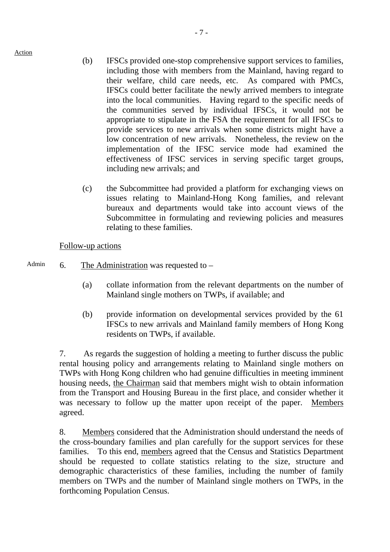Action

- (b) IFSCs provided one-stop comprehensive support services to families, including those with members from the Mainland, having regard to their welfare, child care needs, etc. As compared with PMCs, IFSCs could better facilitate the newly arrived members to integrate into the local communities. Having regard to the specific needs of the communities served by individual IFSCs, it would not be appropriate to stipulate in the FSA the requirement for all IFSCs to provide services to new arrivals when some districts might have a low concentration of new arrivals. Nonetheless, the review on the implementation of the IFSC service mode had examined the effectiveness of IFSC services in serving specific target groups, including new arrivals; and
- (c) the Subcommittee had provided a platform for exchanging views on issues relating to Mainland-Hong Kong families, and relevant bureaux and departments would take into account views of the Subcommittee in formulating and reviewing policies and measures relating to these families.

### Follow-up actions

- Admin  $\sim$  6. The Administration was requested to
	- (a) collate information from the relevant departments on the number of Mainland single mothers on TWPs, if available; and
	- (b) provide information on developmental services provided by the 61 IFSCs to new arrivals and Mainland family members of Hong Kong residents on TWPs, if available.

7. As regards the suggestion of holding a meeting to further discuss the public rental housing policy and arrangements relating to Mainland single mothers on TWPs with Hong Kong children who had genuine difficulties in meeting imminent housing needs, the Chairman said that members might wish to obtain information from the Transport and Housing Bureau in the first place, and consider whether it was necessary to follow up the matter upon receipt of the paper. Members agreed.

8. Members considered that the Administration should understand the needs of the cross-boundary families and plan carefully for the support services for these families. To this end, members agreed that the Census and Statistics Department should be requested to collate statistics relating to the size, structure and demographic characteristics of these families, including the number of family members on TWPs and the number of Mainland single mothers on TWPs, in the forthcoming Population Census.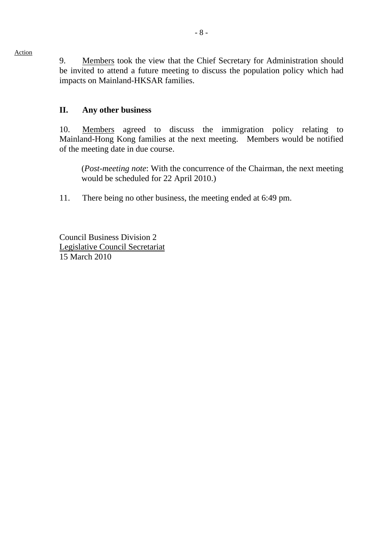9. Members took the view that the Chief Secretary for Administration should be invited to attend a future meeting to discuss the population policy which had impacts on Mainland-HKSAR families.

# **II. Any other business**

10. Members agreed to discuss the immigration policy relating to Mainland-Hong Kong families at the next meeting. Members would be notified of the meeting date in due course.

(*Post-meeting note*: With the concurrence of the Chairman, the next meeting would be scheduled for 22 April 2010.)

11. There being no other business, the meeting ended at 6:49 pm.

Council Business Division 2 Legislative Council Secretariat 15 March 2010

#### Action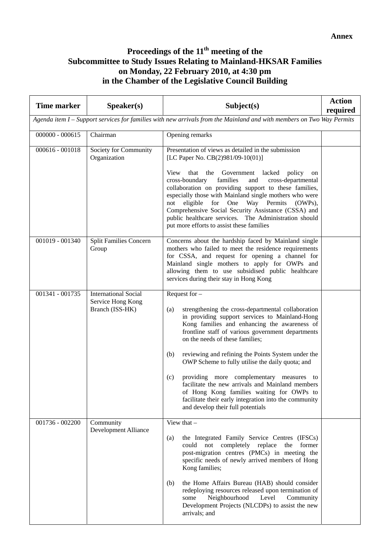# **Proceedings of the 11th meeting of the Subcommittee to Study Issues Relating to Mainland-HKSAR Families on Monday, 22 February 2010, at 4:30 pm in the Chamber of the Legislative Council Building**

| <b>Time marker</b>                                                                                                    | S <sub>p</sub> e <sub>aker(s)</sub>                                 | Subject(s)                                                                                                                                                                                                                                                                                                                                                                                                                                                                                                                                                                                                                                | <b>Action</b><br>required |  |
|-----------------------------------------------------------------------------------------------------------------------|---------------------------------------------------------------------|-------------------------------------------------------------------------------------------------------------------------------------------------------------------------------------------------------------------------------------------------------------------------------------------------------------------------------------------------------------------------------------------------------------------------------------------------------------------------------------------------------------------------------------------------------------------------------------------------------------------------------------------|---------------------------|--|
| Agenda item I – Support services for families with new arrivals from the Mainland and with members on Two Way Permits |                                                                     |                                                                                                                                                                                                                                                                                                                                                                                                                                                                                                                                                                                                                                           |                           |  |
| $000000 - 000615$                                                                                                     | Chairman                                                            | Opening remarks                                                                                                                                                                                                                                                                                                                                                                                                                                                                                                                                                                                                                           |                           |  |
| $000616 - 001018$                                                                                                     | Society for Community<br>Organization                               | Presentation of views as detailed in the submission<br>[LC Paper No. CB(2)981/09-10(01)]<br>that the Government<br>View<br>lacked policy<br>on<br>cross-boundary<br>families<br>and<br>cross-departmental<br>collaboration on providing support to these families,<br>especially those with Mainland single mothers who were<br>eligible for One Way Permits<br>$(OWPs)$ ,<br>not<br>Comprehensive Social Security Assistance (CSSA) and<br>public healthcare services. The Administration should<br>put more efforts to assist these families                                                                                            |                           |  |
| 001019 - 001340                                                                                                       | Split Families Concern<br>Group                                     | Concerns about the hardship faced by Mainland single<br>mothers who failed to meet the residence requirements<br>for CSSA, and request for opening a channel for<br>Mainland single mothers to apply for OWPs and<br>allowing them to use subsidised public healthcare<br>services during their stay in Hong Kong                                                                                                                                                                                                                                                                                                                         |                           |  |
| 001341 - 001735                                                                                                       | <b>International Social</b><br>Service Hong Kong<br>Branch (ISS-HK) | Request for $-$<br>strengthening the cross-departmental collaboration<br>(a)<br>in providing support services to Mainland-Hong<br>Kong families and enhancing the awareness of<br>frontline staff of various government departments<br>on the needs of these families;<br>reviewing and refining the Points System under the<br>(b)<br>OWP Scheme to fully utilise the daily quota; and<br>providing more complementary measures to<br>(c)<br>facilitate the new arrivals and Mainland members<br>of Hong Kong families waiting for OWPs to<br>facilitate their early integration into the community<br>and develop their full potentials |                           |  |
| 001736 - 002200                                                                                                       | Community<br>Development Alliance                                   | View that $-$<br>the Integrated Family Service Centres (IFSCs)<br>(a)<br>completely replace<br>former<br>could<br>not<br>the<br>post-migration centres (PMCs) in meeting the<br>specific needs of newly arrived members of Hong<br>Kong families;<br>the Home Affairs Bureau (HAB) should consider<br>(b)<br>redeploying resources released upon termination of<br>Neighbourhood<br>Level<br>Community<br>some<br>Development Projects (NLCDPs) to assist the new<br>arrivals; and                                                                                                                                                        |                           |  |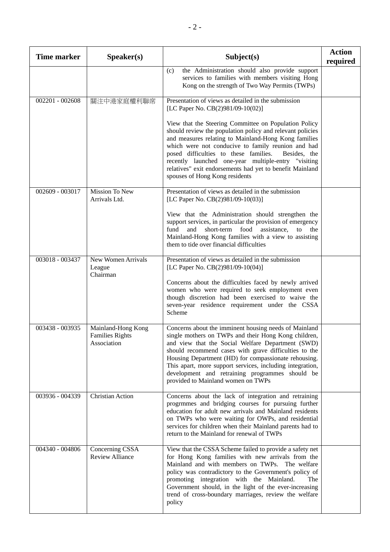| <b>Time marker</b> | S <sub>p</sub> e <sub>aker(s)</sub>                         | Subject(s)                                                                                                                                                                                                                                                                                                                                                                                                                                     | <b>Action</b><br>required |
|--------------------|-------------------------------------------------------------|------------------------------------------------------------------------------------------------------------------------------------------------------------------------------------------------------------------------------------------------------------------------------------------------------------------------------------------------------------------------------------------------------------------------------------------------|---------------------------|
|                    |                                                             | the Administration should also provide support<br>(c)<br>services to families with members visiting Hong<br>Kong on the strength of Two Way Permits (TWPs)                                                                                                                                                                                                                                                                                     |                           |
| $002201 - 002608$  | 關注中港家庭權利聯席                                                  | Presentation of views as detailed in the submission<br>[LC Paper No. CB(2)981/09-10(02)]                                                                                                                                                                                                                                                                                                                                                       |                           |
|                    |                                                             | View that the Steering Committee on Population Policy<br>should review the population policy and relevant policies<br>and measures relating to Mainland-Hong Kong families<br>which were not conducive to family reunion and had<br>posed difficulties to these families.<br>Besides, the<br>recently launched one-year multiple-entry "visiting<br>relatives" exit endorsements had yet to benefit Mainland<br>spouses of Hong Kong residents |                           |
| 002609 - 003017    | Mission To New<br>Arrivals Ltd.                             | Presentation of views as detailed in the submission<br>[LC Paper No. CB(2)981/09-10(03)]                                                                                                                                                                                                                                                                                                                                                       |                           |
|                    |                                                             | View that the Administration should strengthen the<br>support services, in particular the provision of emergency<br>fund<br>and short-term food assistance, to<br>the<br>Mainland-Hong Kong families with a view to assisting<br>them to tide over financial difficulties                                                                                                                                                                      |                           |
| 003018 - 003437    | New Women Arrivals<br>League<br>Chairman                    | Presentation of views as detailed in the submission<br>[LC Paper No. CB(2)981/09-10(04)]                                                                                                                                                                                                                                                                                                                                                       |                           |
|                    |                                                             | Concerns about the difficulties faced by newly arrived<br>women who were required to seek employment even<br>though discretion had been exercised to waive the<br>seven-year residence requirement under the CSSA<br>Scheme                                                                                                                                                                                                                    |                           |
| 003438 - 003935    | Mainland-Hong Kong<br><b>Families Rights</b><br>Association | Concerns about the imminent housing needs of Mainland<br>single mothers on TWPs and their Hong Kong children,<br>and view that the Social Welfare Department (SWD)<br>should recommend cases with grave difficulties to the<br>Housing Department (HD) for compassionate rehousing.<br>This apart, more support services, including integration,<br>development and retraining programmes should be<br>provided to Mainland women on TWPs      |                           |
| 003936 - 004339    | <b>Christian Action</b>                                     | Concerns about the lack of integration and retraining<br>progrmmes and bridging courses for pursuing further<br>education for adult new arrivals and Mainland residents<br>on TWPs who were waiting for OWPs, and residential<br>services for children when their Mainland parents had to<br>return to the Mainland for renewal of TWPs                                                                                                        |                           |
| 004340 - 004806    | Concerning CSSA<br><b>Review Alliance</b>                   | View that the CSSA Scheme failed to provide a safety net<br>for Hong Kong families with new arrivals from the<br>Mainland and with members on TWPs. The welfare<br>policy was contradictory to the Government's policy of<br>promoting integration with the Mainland.<br>The<br>Government should, in the light of the ever-increasing<br>trend of cross-boundary marriages, review the welfare<br>policy                                      |                           |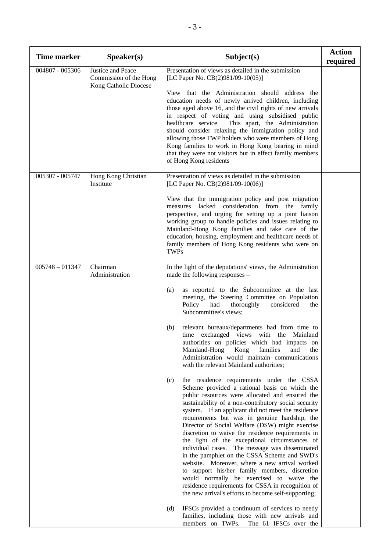| <b>Time marker</b> | S <sub>p</sub> e <sub>aker(s)</sub>                                  | Subject(s)                                                                                                                                                                                                                                                                                                                                                                                                                                                                                                                                                                                                                                                                                                                                                                                                                                                                                                                                                                                                                                                                                                                                                                                                                                                                                                                                                                                                                                                                                                                                                                              | <b>Action</b><br>required |
|--------------------|----------------------------------------------------------------------|-----------------------------------------------------------------------------------------------------------------------------------------------------------------------------------------------------------------------------------------------------------------------------------------------------------------------------------------------------------------------------------------------------------------------------------------------------------------------------------------------------------------------------------------------------------------------------------------------------------------------------------------------------------------------------------------------------------------------------------------------------------------------------------------------------------------------------------------------------------------------------------------------------------------------------------------------------------------------------------------------------------------------------------------------------------------------------------------------------------------------------------------------------------------------------------------------------------------------------------------------------------------------------------------------------------------------------------------------------------------------------------------------------------------------------------------------------------------------------------------------------------------------------------------------------------------------------------------|---------------------------|
| 004807 - 005306    | Justice and Peace<br>Commission of the Hong<br>Kong Catholic Diocese | Presentation of views as detailed in the submission<br>[LC Paper No. CB(2)981/09-10(05)]<br>View that the Administration should address the<br>education needs of newly arrived children, including<br>those aged above 16, and the civil rights of new arrivals<br>in respect of voting and using subsidised public<br>healthcare service.<br>This apart, the Administration<br>should consider relaxing the immigration policy and<br>allowing those TWP holders who were members of Hong<br>Kong families to work in Hong Kong bearing in mind<br>that they were not visitors but in effect family members<br>of Hong Kong residents                                                                                                                                                                                                                                                                                                                                                                                                                                                                                                                                                                                                                                                                                                                                                                                                                                                                                                                                                 |                           |
| 005307 - 005747    | Hong Kong Christian<br>Institute                                     | Presentation of views as detailed in the submission<br>[LC Paper No. CB(2)981/09-10(06)]<br>View that the immigration policy and post migration<br>measures lacked consideration from the family<br>perspective, and urging for setting up a joint liaison<br>working group to handle policies and issues relating to<br>Mainland-Hong Kong families and take care of the<br>education, housing, employment and healthcare needs of<br>family members of Hong Kong residents who were on<br><b>TWPs</b>                                                                                                                                                                                                                                                                                                                                                                                                                                                                                                                                                                                                                                                                                                                                                                                                                                                                                                                                                                                                                                                                                 |                           |
| $005748 - 011347$  | Chairman<br>Administration                                           | In the light of the deputations' views, the Administration<br>made the following responses –<br>as reported to the Subcommittee at the last<br>(a)<br>meeting, the Steering Committee on Population<br>Policy<br>had<br>thoroughly<br>considered<br>the<br>Subcommittee's views;<br>relevant bureaux/departments had from time to<br>(b)<br>time exchanged views with the Mainland<br>authorities on policies which had impacts on<br>Mainland-Hong<br>Kong<br>families<br>and<br>the<br>Administration would maintain communications<br>with the relevant Mainland authorities;<br>the residence requirements under the CSSA<br>(c)<br>Scheme provided a rational basis on which the<br>public resources were allocated and ensured the<br>sustainability of a non-contributory social security<br>system. If an applicant did not meet the residence<br>requirements but was in genuine hardship, the<br>Director of Social Welfare (DSW) might exercise<br>discretion to waive the residence requirements in<br>the light of the exceptional circumstances of<br>individual cases. The message was disseminated<br>in the pamphlet on the CSSA Scheme and SWD's<br>website. Moreover, where a new arrival worked<br>to support his/her family members, discretion<br>would normally be exercised to waive the<br>residence requirements for CSSA in recognition of<br>the new arrival's efforts to become self-supporting;<br>(d)<br>IFSCs provided a continuum of services to needy<br>families, including those with new arrivals and<br>members on TWPs.<br>The 61 IFSCs over the |                           |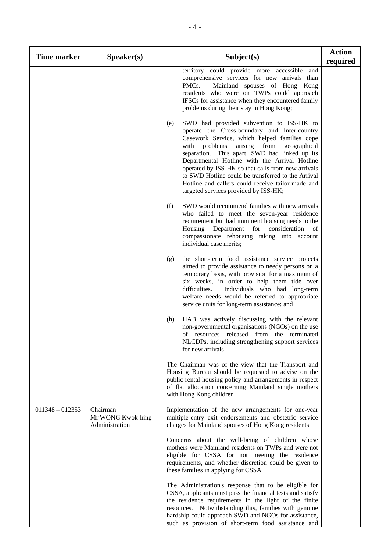| <b>Time marker</b> | Speaker(s)                                      | Subject(s)                                                                                                                                                                                                                                                                                                                                                                                                                                                                                                         | <b>Action</b><br>required |
|--------------------|-------------------------------------------------|--------------------------------------------------------------------------------------------------------------------------------------------------------------------------------------------------------------------------------------------------------------------------------------------------------------------------------------------------------------------------------------------------------------------------------------------------------------------------------------------------------------------|---------------------------|
|                    |                                                 | territory could provide more accessible and<br>comprehensive services for new arrivals than<br>PMCs.<br>Mainland spouses of Hong Kong<br>residents who were on TWPs could approach<br>IFSCs for assistance when they encountered family<br>problems during their stay in Hong Kong;                                                                                                                                                                                                                                |                           |
|                    |                                                 | SWD had provided subvention to ISS-HK to<br>(e)<br>operate the Cross-boundary and Inter-country<br>Casework Service, which helped families cope<br>from<br>with<br>problems<br>arising<br>geographical<br>separation. This apart, SWD had linked up its<br>Departmental Hotline with the Arrival Hotline<br>operated by ISS-HK so that calls from new arrivals<br>to SWD Hotline could be transferred to the Arrival<br>Hotline and callers could receive tailor-made and<br>targeted services provided by ISS-HK; |                           |
|                    |                                                 | SWD would recommend families with new arrivals<br>(f)<br>who failed to meet the seven-year residence<br>requirement but had imminent housing needs to the<br>Housing Department for<br>consideration<br><sub>of</sub><br>compassionate rehousing taking into account<br>individual case merits;                                                                                                                                                                                                                    |                           |
|                    |                                                 | the short-term food assistance service projects<br>(g)<br>aimed to provide assistance to needy persons on a<br>temporary basis, with provision for a maximum of<br>six weeks, in order to help them tide over<br>Individuals who had long-term<br>difficulties.<br>welfare needs would be referred to appropriate<br>service units for long-term assistance; and                                                                                                                                                   |                           |
|                    |                                                 | HAB was actively discussing with the relevant<br>(h)<br>non-governmental organisations (NGOs) on the use<br>of resources released from the terminated<br>NLCDPs, including strengthening support services<br>for new arrivals                                                                                                                                                                                                                                                                                      |                           |
|                    |                                                 | The Chairman was of the view that the Transport and<br>Housing Bureau should be requested to advise on the<br>public rental housing policy and arrangements in respect<br>of flat allocation concerning Mainland single mothers<br>with Hong Kong children                                                                                                                                                                                                                                                         |                           |
| $011348 - 012353$  | Chairman<br>Mr WONG Kwok-hing<br>Administration | Implementation of the new arrangements for one-year<br>multiple-entry exit endorsements and obstetric service<br>charges for Mainland spouses of Hong Kong residents                                                                                                                                                                                                                                                                                                                                               |                           |
|                    |                                                 | Concerns about the well-being of children whose<br>mothers were Mainland residents on TWPs and were not<br>eligible for CSSA for not meeting the residence<br>requirements, and whether discretion could be given to<br>these families in applying for CSSA                                                                                                                                                                                                                                                        |                           |
|                    |                                                 | The Administration's response that to be eligible for<br>CSSA, applicants must pass the financial tests and satisfy<br>the residence requirements in the light of the finite<br>resources. Notwithstanding this, families with genuine<br>hardship could approach SWD and NGOs for assistance,<br>such as provision of short-term food assistance and                                                                                                                                                              |                           |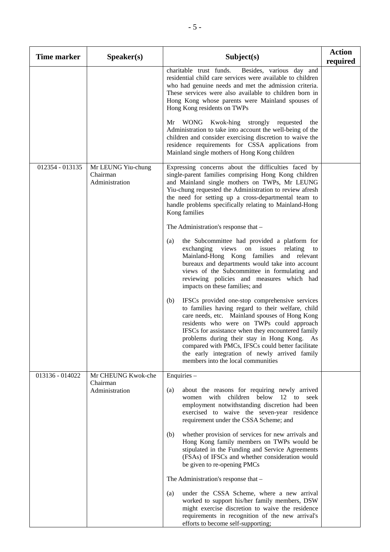| <b>Time marker</b> | Speaker(s)                                       | Subject(s)                                                                                                                                                                                                                                                                                                                                                                                                                                                | <b>Action</b><br>required |
|--------------------|--------------------------------------------------|-----------------------------------------------------------------------------------------------------------------------------------------------------------------------------------------------------------------------------------------------------------------------------------------------------------------------------------------------------------------------------------------------------------------------------------------------------------|---------------------------|
|                    |                                                  | charitable trust funds.<br>Besides, various day and<br>residential child care services were available to children<br>who had genuine needs and met the admission criteria.<br>These services were also available to children born in<br>Hong Kong whose parents were Mainland spouses of<br>Hong Kong residents on TWPs                                                                                                                                   |                           |
|                    |                                                  | WONG Kwok-hing strongly requested the<br>Mr<br>Administration to take into account the well-being of the<br>children and consider exercising discretion to waive the<br>residence requirements for CSSA applications from<br>Mainland single mothers of Hong Kong children                                                                                                                                                                                |                           |
| 012354 - 013135    | Mr LEUNG Yiu-chung<br>Chairman<br>Administration | Expressing concerns about the difficulties faced by<br>single-parent families comprising Hong Kong children<br>and Mainland single mothers on TWPs, Mr LEUNG<br>Yiu-chung requested the Administration to review afresh<br>the need for setting up a cross-departmental team to<br>handle problems specifically relating to Mainland-Hong<br>Kong families                                                                                                |                           |
|                    |                                                  | The Administration's response that $-$                                                                                                                                                                                                                                                                                                                                                                                                                    |                           |
|                    |                                                  | the Subcommittee had provided a platform for<br>(a)<br>exchanging views on issues<br>relating<br>to<br>Mainland-Hong Kong families and relevant<br>bureaux and departments would take into account<br>views of the Subcommittee in formulating and<br>reviewing policies and measures which had<br>impacts on these families; and                                                                                                                         |                           |
|                    |                                                  | IFSCs provided one-stop comprehensive services<br>(b)<br>to families having regard to their welfare, child<br>care needs, etc. Mainland spouses of Hong Kong<br>residents who were on TWPs could approach<br>IFSCs for assistance when they encountered family<br>problems during their stay in Hong Kong. As<br>compared with PMCs, IFSCs could better facilitate<br>the early integration of newly arrived family<br>members into the local communities |                           |
| 013136 - 014022    | Mr CHEUNG Kwok-che<br>Chairman                   | Enquiries -                                                                                                                                                                                                                                                                                                                                                                                                                                               |                           |
|                    | Administration                                   | about the reasons for requiring newly arrived<br>(a)<br>with children below 12<br>to<br>seek<br>women<br>employment notwithstanding discretion had been<br>exercised to waive the seven-year residence<br>requirement under the CSSA Scheme; and                                                                                                                                                                                                          |                           |
|                    |                                                  | whether provision of services for new arrivals and<br>(b)<br>Hong Kong family members on TWPs would be<br>stipulated in the Funding and Service Agreements<br>(FSAs) of IFSCs and whether consideration would<br>be given to re-opening PMCs                                                                                                                                                                                                              |                           |
|                    |                                                  | The Administration's response that -                                                                                                                                                                                                                                                                                                                                                                                                                      |                           |
|                    |                                                  | under the CSSA Scheme, where a new arrival<br>(a)<br>worked to support his/her family members, DSW<br>might exercise discretion to waive the residence<br>requirements in recognition of the new arrival's<br>efforts to become self-supporting;                                                                                                                                                                                                          |                           |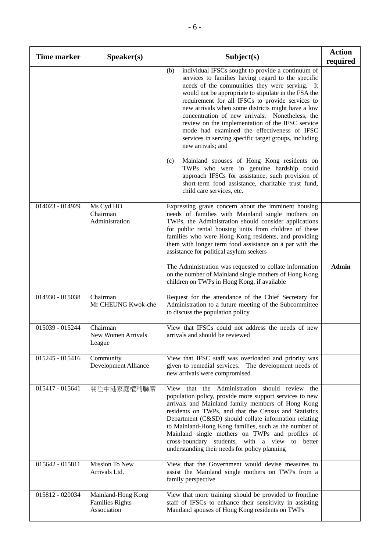| <b>Time marker</b>           | Speaker(s)                                                  | Subject(s)                                                                                                                                                                                                                                                                                                                                                                                                                                                                                                                                                                                                                                                                                                                                                                                                   | <b>Action</b><br>required |
|------------------------------|-------------------------------------------------------------|--------------------------------------------------------------------------------------------------------------------------------------------------------------------------------------------------------------------------------------------------------------------------------------------------------------------------------------------------------------------------------------------------------------------------------------------------------------------------------------------------------------------------------------------------------------------------------------------------------------------------------------------------------------------------------------------------------------------------------------------------------------------------------------------------------------|---------------------------|
|                              |                                                             | individual IFSCs sought to provide a continuum of<br>(b)<br>services to families having regard to the specific<br>needs of the communities they were serving. It<br>would not be appropriate to stipulate in the FSA the<br>requirement for all IFSCs to provide services to<br>new arrivals when some districts might have a low<br>concentration of new arrivals. Nonetheless, the<br>review on the implementation of the IFSC service<br>mode had examined the effectiveness of IFSC<br>services in serving specific target groups, including<br>new arrivals; and<br>Mainland spouses of Hong Kong residents on<br>(c)<br>TWPs who were in genuine hardship could<br>approach IFSCs for assistance, such provision of<br>short-term food assistance, charitable trust fund,<br>child care services, etc. |                           |
| 014023 - 014929              | Ms Cyd HO<br>Chairman<br>Administration                     | Expressing grave concern about the imminent housing<br>needs of families with Mainland single mothers on<br>TWPs, the Administration should consider applications<br>for public rental housing units from children of these<br>families who were Hong Kong residents, and providing<br>them with longer term food assistance on a par with the<br>assistance for political asylum seekers<br>The Administration was requested to collate information<br>on the number of Mainland single mothers of Hong Kong<br>children on TWPs in Hong Kong, if available                                                                                                                                                                                                                                                 | <b>Admin</b>              |
| $\overline{014930} - 015038$ | Chairman<br>Mr CHEUNG Kwok-che                              | Request for the attendance of the Chief Secretary for<br>Administration to a future meeting of the Subcommittee<br>to discuss the population policy                                                                                                                                                                                                                                                                                                                                                                                                                                                                                                                                                                                                                                                          |                           |
| 015039 - 015244              | Chairman<br>New Women Arrivals<br>League                    | View that IFSCs could not address the needs of new<br>arrivals and should be reviewed                                                                                                                                                                                                                                                                                                                                                                                                                                                                                                                                                                                                                                                                                                                        |                           |
| 015245 - 015416              | Community<br>Development Alliance                           | View that IFSC staff was overloaded and priority was<br>given to remedial services. The development needs of<br>new arrivals were compromised                                                                                                                                                                                                                                                                                                                                                                                                                                                                                                                                                                                                                                                                |                           |
| 015417 - 015641              | 關注中港家庭權利聯席                                                  | View that the Administration should review the<br>population policy, provide more support services to new<br>arrivals and Mainland family members of Hong Kong<br>residents on TWPs, and that the Census and Statistics<br>Department (C&SD) should collate information relating<br>to Mainland-Hong Kong families, such as the number of<br>Mainland single mothers on TWPs and profiles of<br>cross-boundary students, with a view to better<br>understanding their needs for policy planning                                                                                                                                                                                                                                                                                                              |                           |
| 015642 - 015811              | <b>Mission To New</b><br>Arrivals Ltd.                      | View that the Government would devise measures to<br>assist the Mainland single mothers on TWPs from a<br>family perspective                                                                                                                                                                                                                                                                                                                                                                                                                                                                                                                                                                                                                                                                                 |                           |
| 015812 - 020034              | Mainland-Hong Kong<br><b>Families Rights</b><br>Association | View that more training should be provided to frontline<br>staff of IFSCs to enhance their sensitivity in assisting<br>Mainland spouses of Hong Kong residents on TWPs                                                                                                                                                                                                                                                                                                                                                                                                                                                                                                                                                                                                                                       |                           |